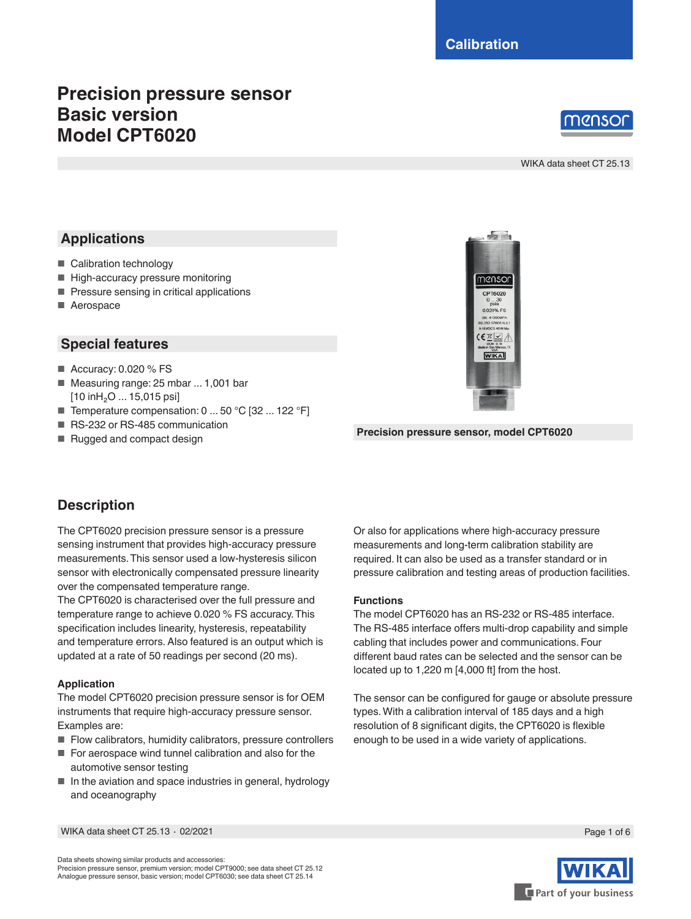# **Precision pressure sensor Basic version Model CPT6020**



WIKA data sheet CT 25.13

# **Applications**

- Calibration technology
- High-accuracy pressure monitoring
- Pressure sensing in critical applications
- Aerospace

### **Special features**

- Accuracy: 0.020 % FS
- Measuring range: 25 mbar ... 1,001 bar [10 inH<sub>2</sub>O ... 15,015 psi]
- Temperature compensation: 0 ... 50 °C [32 ... 122 °F]
- RS-232 or RS-485 communication
- Rugged and compact design



**Precision pressure sensor, model CPT6020**

# **Description**

The CPT6020 precision pressure sensor is a pressure sensing instrument that provides high-accuracy pressure measurements. This sensor used a low-hysteresis silicon sensor with electronically compensated pressure linearity over the compensated temperature range.

The CPT6020 is characterised over the full pressure and temperature range to achieve 0.020 % FS accuracy. This specification includes linearity, hysteresis, repeatability and temperature errors. Also featured is an output which is updated at a rate of 50 readings per second (20 ms).

### **Application**

The model CPT6020 precision pressure sensor is for OEM instruments that require high-accuracy pressure sensor. Examples are:

- Flow calibrators, humidity calibrators, pressure controllers
- For aerospace wind tunnel calibration and also for the automotive sensor testing
- In the aviation and space industries in general, hydrology and oceanography

Or also for applications where high-accuracy pressure measurements and long-term calibration stability are required. It can also be used as a transfer standard or in pressure calibration and testing areas of production facilities.

#### **Functions**

The model CPT6020 has an RS-232 or RS-485 interface. The RS-485 interface offers multi-drop capability and simple cabling that includes power and communications. Four different baud rates can be selected and the sensor can be located up to 1,220 m [4,000 ft] from the host.

The sensor can be configured for gauge or absolute pressure types. With a calibration interval of 185 days and a high resolution of 8 significant digits, the CPT6020 is flexible enough to be used in a wide variety of applications.

WIKA data sheet CT 25.13 ⋅ 02/2021 Page 1 of 6



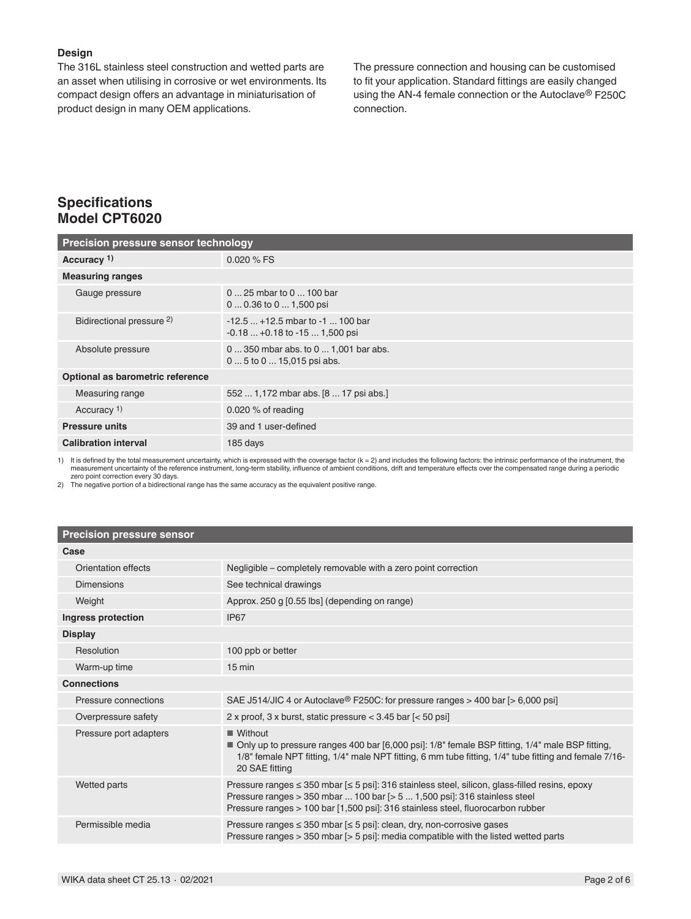#### **Design**

The 316L stainless steel construction and wetted parts are an asset when utilising in corrosive or wet environments. Its compact design offers an advantage in miniaturisation of product design in many OEM applications.

The pressure connection and housing can be customised to fit your application. Standard fittings are easily changed using the AN-4 female connection or the Autoclave® F250C connection.

## **Specifications Model CPT6020**

| Precision pressure sensor technology |                                                                        |  |  |
|--------------------------------------|------------------------------------------------------------------------|--|--|
| Accuracy <sup>1)</sup>               | $0.020 \%$ FS                                                          |  |  |
| <b>Measuring ranges</b>              |                                                                        |  |  |
| Gauge pressure                       | $025$ mbar to $0100$ bar<br>$00.36$ to $01,500$ psi                    |  |  |
| Bidirectional pressure <sup>2)</sup> | $-12.5$ $+12.5$ mbar to $-1$ 100 bar<br>$-0.18+0.18$ to $-151,500$ psi |  |  |
| Absolute pressure                    | 0  350 mbar abs. to 0  1,001 bar abs.<br>0  5 to 0  15,015 psi abs.    |  |  |
| Optional as barometric reference     |                                                                        |  |  |
| Measuring range                      | 552  1,172 mbar abs. [8  17 psi abs.]                                  |  |  |
| Accuracy <sup>1)</sup>               | 0.020 $%$ of reading                                                   |  |  |
| <b>Pressure units</b>                | 39 and 1 user-defined                                                  |  |  |
| <b>Calibration interval</b>          | 185 days                                                               |  |  |

1) It is defined by the total measurement uncertainty, which is expressed with the coverage factor (k = 2) and includes the following factors: the intrinsic performance of the instrument, the<br>measurement uncertainty of the

zero point correction every 30 days. 2) The negative portion of a bidirectional range has the same accuracy as the equivalent positive range.

#### **Precision pressure sensor**

| Case                   |                                                                                                                                                                                                                                                                          |
|------------------------|--------------------------------------------------------------------------------------------------------------------------------------------------------------------------------------------------------------------------------------------------------------------------|
| Orientation effects    | Negligible – completely removable with a zero point correction                                                                                                                                                                                                           |
| Dimensions             | See technical drawings                                                                                                                                                                                                                                                   |
| Weight                 | Approx. 250 g [0.55 lbs] (depending on range)                                                                                                                                                                                                                            |
| Ingress protection     | IP <sub>67</sub>                                                                                                                                                                                                                                                         |
| <b>Display</b>         |                                                                                                                                                                                                                                                                          |
| Resolution             | 100 ppb or better                                                                                                                                                                                                                                                        |
| Warm-up time           | $15 \text{ min}$                                                                                                                                                                                                                                                         |
| <b>Connections</b>     |                                                                                                                                                                                                                                                                          |
| Pressure connections   | SAE J514/JIC 4 or Autoclave <sup>®</sup> F250C: for pressure ranges > 400 bar [> 6,000 psi]                                                                                                                                                                              |
| Overpressure safety    | 2 x proof, 3 x burst, static pressure $<$ 3.45 bar $\left[$ < 50 psi $\right]$                                                                                                                                                                                           |
| Pressure port adapters | Without<br>■ Only up to pressure ranges 400 bar [6,000 psi]: 1/8" female BSP fitting, 1/4" male BSP fitting,<br>1/8" female NPT fitting, 1/4" male NPT fitting, 6 mm tube fitting, 1/4" tube fitting and female 7/16-<br>20 SAE fitting                                  |
| Wetted parts           | Pressure ranges ≤ 350 mbar [≤ 5 psi]: 316 stainless steel, silicon, glass-filled resins, epoxy<br>Pressure ranges $>$ 350 mbar  100 bar $\lceil$ > 5  1,500 psi]: 316 stainless steel<br>Pressure ranges > 100 bar [1,500 psi]: 316 stainless steel, fluorocarbon rubber |
| Permissible media      | Pressure ranges $\leq$ 350 mbar $\leq$ 5 psi]: clean, dry, non-corrosive gases<br>Pressure ranges > 350 mbar [> 5 psi]: media compatible with the listed wetted parts                                                                                                    |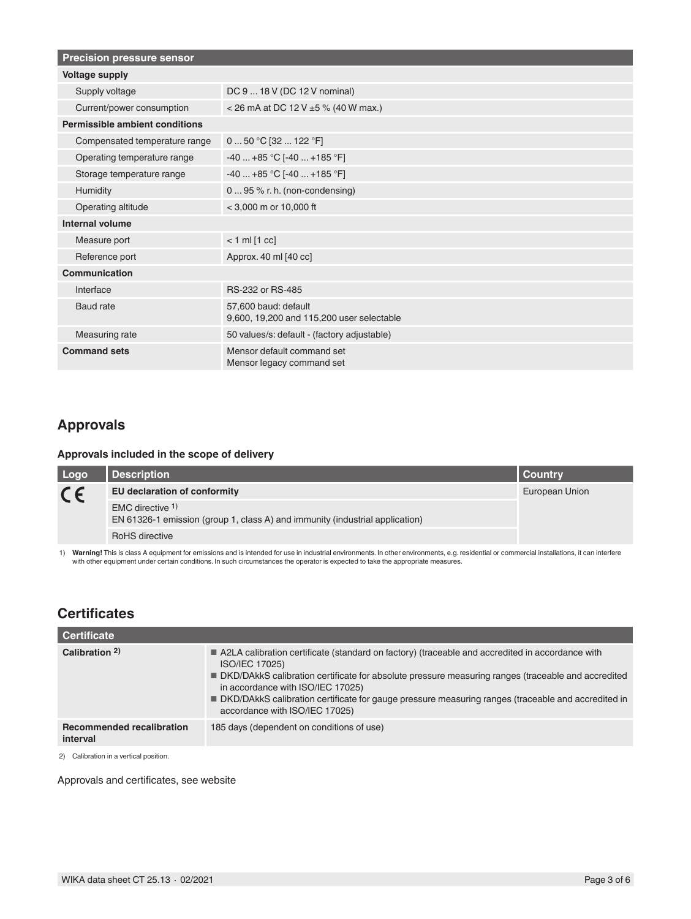| <b>Precision pressure sensor</b> |                                                                   |  |
|----------------------------------|-------------------------------------------------------------------|--|
| <b>Voltage supply</b>            |                                                                   |  |
| Supply voltage                   | DC 9  18 V (DC 12 V nominal)                                      |  |
| Current/power consumption        | < 26 mA at DC 12 V $\pm$ 5 % (40 W max.)                          |  |
| Permissible ambient conditions   |                                                                   |  |
| Compensated temperature range    | 0  50 °C [32  122 °F]                                             |  |
| Operating temperature range      | $-40+85$ °C [ $-40+185$ °F]                                       |  |
| Storage temperature range        | $-40+85 °C[-40+185 °F]$                                           |  |
| Humidity                         | 0  95 % r. h. (non-condensing)                                    |  |
| Operating altitude               | $<$ 3,000 m or 10,000 ft                                          |  |
| Internal volume                  |                                                                   |  |
| Measure port                     | $< 1$ ml $[1$ cc]                                                 |  |
| Reference port                   | Approx. 40 ml [40 cc]                                             |  |
| Communication                    |                                                                   |  |
| Interface                        | RS-232 or RS-485                                                  |  |
| Baud rate                        | 57.600 baud: default<br>9,600, 19,200 and 115,200 user selectable |  |
| Measuring rate                   | 50 values/s: default - (factory adjustable)                       |  |
| <b>Command sets</b>              | Mensor default command set<br>Mensor legacy command set           |  |

# **Approvals**

### **Approvals included in the scope of delivery**

| Logo    | <b>Description</b>                                                                               | I Countrv      |  |
|---------|--------------------------------------------------------------------------------------------------|----------------|--|
| $C \in$ | EU declaration of conformity                                                                     | European Union |  |
|         | EMC directive 1)<br>EN 61326-1 emission (group 1, class A) and immunity (industrial application) |                |  |
|         | <b>RoHS</b> directive                                                                            |                |  |

1) Warning! This is class A equipment for emissions and is intended for use in industrial environments. In other environments, e.g. residential or commercial installations, it can interfere<br>with other equipment under certa

# **Certificates**

| Certificate                                  |                                                                                                                                                                                                                                                                                                                                                                                                                 |
|----------------------------------------------|-----------------------------------------------------------------------------------------------------------------------------------------------------------------------------------------------------------------------------------------------------------------------------------------------------------------------------------------------------------------------------------------------------------------|
| Calibration 2)                               | A2LA calibration certificate (standard on factory) (traceable and accredited in accordance with<br><b>ISO/IEC 17025)</b><br>■ DKD/DAkkS calibration certificate for absolute pressure measuring ranges (traceable and accredited<br>in accordance with ISO/IEC 17025)<br>■ DKD/DAkkS calibration certificate for gauge pressure measuring ranges (traceable and accredited in<br>accordance with ISO/IEC 17025) |
| <b>Recommended recalibration</b><br>interval | 185 days (dependent on conditions of use)                                                                                                                                                                                                                                                                                                                                                                       |
| 2) Calibration in a vertical position.       |                                                                                                                                                                                                                                                                                                                                                                                                                 |

Approvals and certificates, see website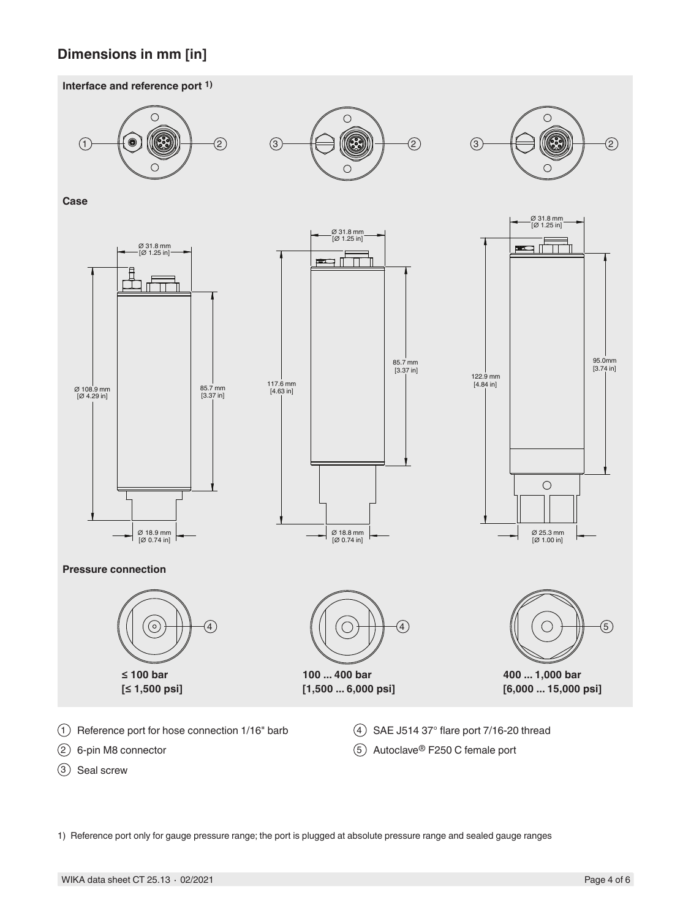# **Dimensions in mm [in]**





1) Reference port only for gauge pressure range; the port is plugged at absolute pressure range and sealed gauge ranges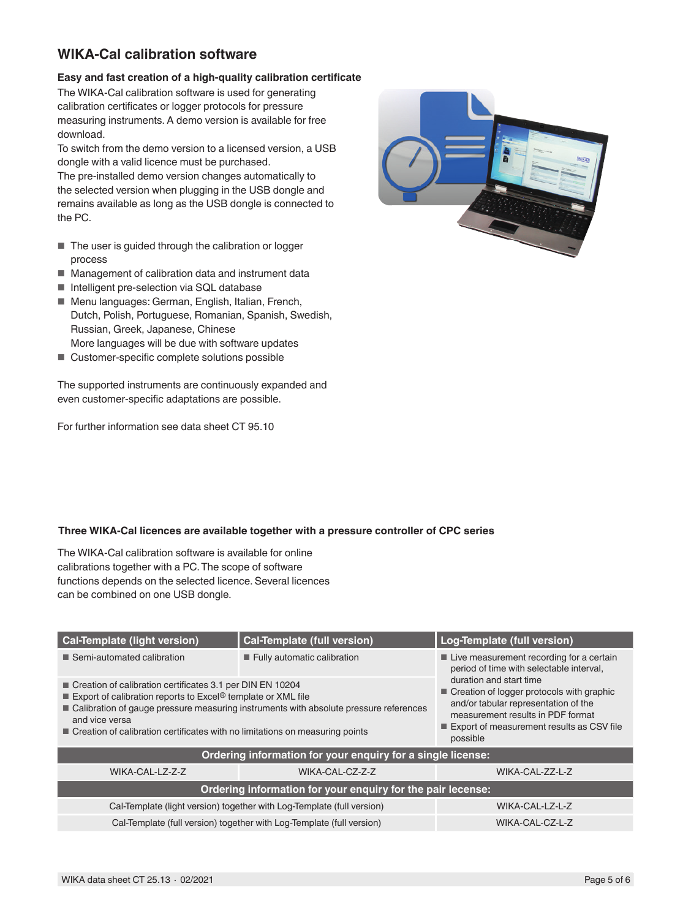# **WIKA-Cal calibration software**

### **Easy and fast creation of a high-quality calibration certificate**

The WIKA-Cal calibration software is used for generating calibration certificates or logger protocols for pressure measuring instruments. A demo version is available for free download.

To switch from the demo version to a licensed version, a USB dongle with a valid licence must be purchased.

The pre-installed demo version changes automatically to the selected version when plugging in the USB dongle and remains available as long as the USB dongle is connected to the PC.

- The user is guided through the calibration or logger process
- Management of calibration data and instrument data
- Intelligent pre-selection via SQL database
- Menu languages: German, English, Italian, French, Dutch, Polish, Portuguese, Romanian, Spanish, Swedish, Russian, Greek, Japanese, Chinese More languages will be due with software updates
- Customer-specific complete solutions possible

The supported instruments are continuously expanded and even customer-specific adaptations are possible.

For further information see data sheet CT 95.10



### **Three WIKA-Cal licences are available together with a pressure controller of CPC series**

The WIKA-Cal calibration software is available for online calibrations together with a PC. The scope of software functions depends on the selected licence. Several licences can be combined on one USB dongle.

| <b>Cal-Template (light version)</b>                                                                                                                                                                                                                                                                                                | <b>Cal-Template (full version)</b> | Log-Template (full version)                                                                                                                                                                                |  |  |  |
|------------------------------------------------------------------------------------------------------------------------------------------------------------------------------------------------------------------------------------------------------------------------------------------------------------------------------------|------------------------------------|------------------------------------------------------------------------------------------------------------------------------------------------------------------------------------------------------------|--|--|--|
| ■ Semi-automated calibration                                                                                                                                                                                                                                                                                                       | Fully automatic calibration        | ■ Live measurement recording for a certain<br>period of time with selectable interval,                                                                                                                     |  |  |  |
| Creation of calibration certificates 3.1 per DIN EN 10204<br>Export of calibration reports to Excel <sup>®</sup> template or XML file<br>■ Calibration of gauge pressure measuring instruments with absolute pressure references<br>and vice versa<br>Creation of calibration certificates with no limitations on measuring points |                                    | duration and start time<br>Creation of logger protocols with graphic<br>and/or tabular representation of the<br>measurement results in PDF format<br>Export of measurement results as CSV file<br>possible |  |  |  |
| Ordering information for your enquiry for a single license:                                                                                                                                                                                                                                                                        |                                    |                                                                                                                                                                                                            |  |  |  |
| WIKA-CAL-LZ-Z-Z                                                                                                                                                                                                                                                                                                                    | WIKA-CAL-CZ-Z-Z                    | WIKA-CAL-ZZ-L-Z                                                                                                                                                                                            |  |  |  |
| Ordering information for your enquiry for the pair lecense:                                                                                                                                                                                                                                                                        |                                    |                                                                                                                                                                                                            |  |  |  |
| Cal-Template (light version) together with Log-Template (full version)                                                                                                                                                                                                                                                             | WIKA-CAL-LZ-L-Z                    |                                                                                                                                                                                                            |  |  |  |
| Cal-Template (full version) together with Log-Template (full version)                                                                                                                                                                                                                                                              | WIKA-CAL-CZ-L-Z                    |                                                                                                                                                                                                            |  |  |  |